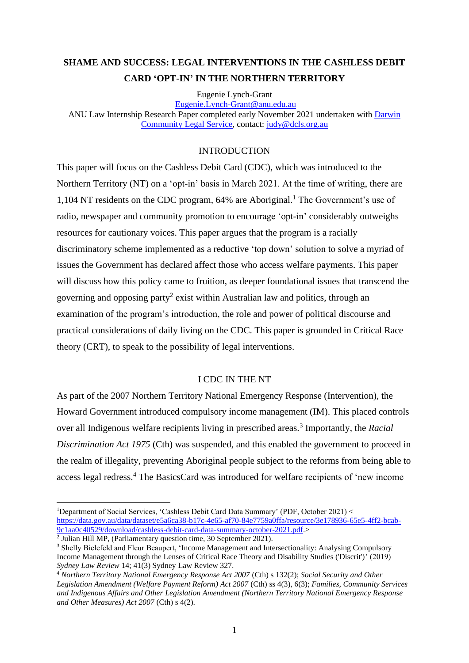# **SHAME AND SUCCESS: LEGAL INTERVENTIONS IN THE CASHLESS DEBIT CARD 'OPT-IN' IN THE NORTHERN TERRITORY**

Eugenie Lynch-Grant

[Eugenie.Lynch-Grant@anu.edu.au](mailto:Eugenie.Lynch-Grant@anu.edu.au) ANU Law Internship Research Paper completed early November 2021 undertaken with [Darwin](http://www.dcls.org.au/)  [Community Legal Service,](http://www.dcls.org.au/) contact: [judy@dcls.org.au](mailto:judy@dcls.org.au)

# INTRODUCTION

This paper will focus on the Cashless Debit Card (CDC), which was introduced to the Northern Territory (NT) on a 'opt-in' basis in March 2021. At the time of writing, there are 1,104 NT residents on the CDC program, 64% are Aboriginal. <sup>1</sup> The Government's use of radio, newspaper and community promotion to encourage 'opt-in' considerably outweighs resources for cautionary voices. This paper argues that the program is a racially discriminatory scheme implemented as a reductive 'top down' solution to solve a myriad of issues the Government has declared affect those who access welfare payments. This paper will discuss how this policy came to fruition, as deeper foundational issues that transcend the governing and opposing party<sup>2</sup> exist within Australian law and politics, through an examination of the program's introduction, the role and power of political discourse and practical considerations of daily living on the CDC. This paper is grounded in Critical Race theory (CRT), to speak to the possibility of legal interventions.

# I CDC IN THE NT

As part of the 2007 Northern Territory National Emergency Response (Intervention), the Howard Government introduced compulsory income management (IM). This placed controls over all Indigenous welfare recipients living in prescribed areas.<sup>3</sup> Importantly, the *Racial Discrimination Act 1975* (Cth) was suspended, and this enabled the government to proceed in the realm of illegality, preventing Aboriginal people subject to the reforms from being able to access legal redress.<sup>4</sup> The BasicsCard was introduced for welfare recipients of 'new income

<sup>1</sup>Department of Social Services, 'Cashless Debit Card Data Summary' (PDF, October 2021) < [https://data.gov.au/data/dataset/e5a6ca38-b17c-4e65-af70-84e7759a0ffa/resource/3e178936-65e5-4ff2-bcab-](https://data.gov.au/data/dataset/e5a6ca38-b17c-4e65-af70-84e7759a0ffa/resource/3e178936-65e5-4ff2-bcab-9c1aa0c40529/download/cashless-debit-card-data-summary-october-2021.pdf)[9c1aa0c40529/download/cashless-debit-card-data-summary-october-2021.pdf.](https://data.gov.au/data/dataset/e5a6ca38-b17c-4e65-af70-84e7759a0ffa/resource/3e178936-65e5-4ff2-bcab-9c1aa0c40529/download/cashless-debit-card-data-summary-october-2021.pdf)>

<sup>2</sup> Julian Hill MP, (Parliamentary question time, 30 September 2021).

<sup>&</sup>lt;sup>3</sup> Shelly Bielefeld and Fleur Beaupert, 'Income Management and Intersectionality: Analysing Compulsory Income Management through the Lenses of Critical Race Theory and Disability Studies ('Discrit')' (2019) *Sydney Law Review* 14; 41(3) Sydney Law Review 327.

<sup>4</sup> *[Northern Territory National Emergency Response Act 2007](http://www.austlii.edu.au/au/legis/cth/num_act/ntnera2007531/)* (Cth) [s 132\(2\);](http://www.austlii.edu.au/au/legis/cth/num_act/ntnera2007531/s132.html) *[Social Security and Other](http://www.austlii.edu.au/au/legis/cth/num_act/ssaolapra2007674/)  [Legislation Amendment \(Welfare Payment Reform\) Act 2007](http://www.austlii.edu.au/au/legis/cth/num_act/ssaolapra2007674/)* (Cth) [ss 4\(3\),](http://www.austlii.edu.au/au/legis/cth/num_act/ssaolapra2007674/s4.html) [6\(](http://www.austlii.edu.au/au/legis/cth/num_act/ssaolapra2007674/s6.html)3); *[Families, Community Services](http://www.austlii.edu.au/au/legis/cth/num_act/fcsaiaaolatneraoma20071428/)  and Indigenous Affairs and Other [Legislation Amendment \(Northern Territory National Emergency Response](http://www.austlii.edu.au/au/legis/cth/num_act/fcsaiaaolatneraoma20071428/)  [and Other Measures\) Act 2007](http://www.austlii.edu.au/au/legis/cth/num_act/fcsaiaaolatneraoma20071428/)* (Cth) [s 4\(2\).](http://www.austlii.edu.au/au/legis/cth/num_act/fcsaiaaolatneraoma20071428/s4.html)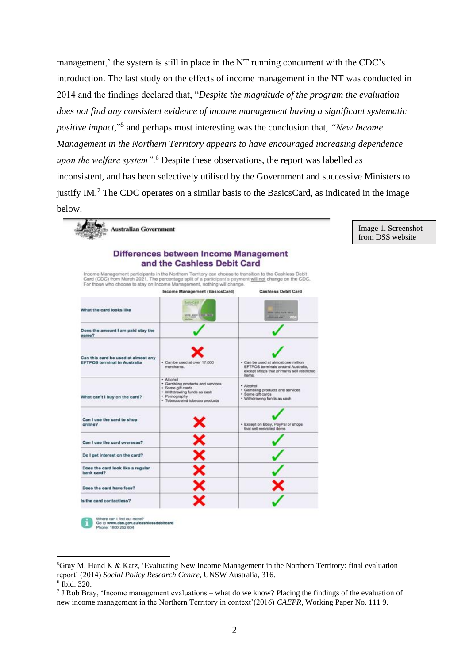management,' the system is still in place in the NT running concurrent with the CDC's introduction. The last study on the effects of income management in the NT was conducted in 2014 and the findings declared that, "*Despite the magnitude of the program the evaluation does not find any consistent evidence of income management having a significant systematic positive impact,*" 5 and perhaps most interesting was the conclusion that, *"New Income Management in the Northern Territory appears to have encouraged increasing dependence upon the welfare system".* <sup>6</sup> Despite these observations, the report was labelled as inconsistent, and has been selectively utilised by the Government and successive Ministers to justify IM.<sup>7</sup> The CDC operates on a similar basis to the BasicsCard, as indicated in the image below.

> Image 1. Screenshot from DSS website

|                                                                            | Differences between Income Management                                                                                                                                                                                                                                                         |                                                                                                                                    |
|----------------------------------------------------------------------------|-----------------------------------------------------------------------------------------------------------------------------------------------------------------------------------------------------------------------------------------------------------------------------------------------|------------------------------------------------------------------------------------------------------------------------------------|
|                                                                            | and the Cashless Debit Card                                                                                                                                                                                                                                                                   |                                                                                                                                    |
|                                                                            | Income Management participants in the Northern Territory can choose to transition to the Cashless Debit<br>Card (CDC) from March 2021. The percentage split of a participant's payment will not change on the CDC.<br>For those who choose to stay on Income Management, nothing will change. |                                                                                                                                    |
|                                                                            | Income Management (BasicsCard)                                                                                                                                                                                                                                                                | <b>Cashless Debit Card</b>                                                                                                         |
| What the card looks like                                                   | <b>BestoyCard</b><br>NUT AND BEES FAIR                                                                                                                                                                                                                                                        | LINE THIS TOTAL GAVE<br><b>REPAIRING THE VIST</b>                                                                                  |
| Does the amount I am paid stay the<br>same?                                |                                                                                                                                                                                                                                                                                               |                                                                                                                                    |
| Can this card be used at almost any<br><b>EFTPOS terminal in Australia</b> | + Can be used at over 17,000<br>merchants.                                                                                                                                                                                                                                                    | · Can be used at almost one million<br>EFTPOS terminals around Australia,<br>except shops that primarily sell restricted<br>items. |
| What can't I buy on the card?                                              | · Alcohol<br>· Gambling products and services<br>· Some gift cards<br>· Withdrawing funds as cash<br>· Pomography<br>· Tobacco and tobacco products                                                                                                                                           | · Alcohol<br>· Gambling products and services<br>· Some gift cards<br>· Withdrawing funds as cash                                  |
| Can I use the card to shop<br>online?                                      |                                                                                                                                                                                                                                                                                               | · Except on Ebay, PayPal or shops<br>that sell restricted items                                                                    |
| Can I use the card overseas?                                               |                                                                                                                                                                                                                                                                                               |                                                                                                                                    |
| Do I get interest on the card?                                             |                                                                                                                                                                                                                                                                                               |                                                                                                                                    |
| Does the card look like a regular<br>bank card?                            |                                                                                                                                                                                                                                                                                               |                                                                                                                                    |
| Does the card have fees?                                                   |                                                                                                                                                                                                                                                                                               |                                                                                                                                    |
| Is the card contactless?                                                   |                                                                                                                                                                                                                                                                                               |                                                                                                                                    |

Where can I find out more?<br>Go to www.dss.gov.au/cashlessdebitcard<br>Phone: 1800 252 604

<sup>5</sup>Gray M, Hand K & Katz, 'Evaluating New Income Management in the Northern Territory: final evaluation report' (2014) *Social Policy Research Centre*, UNSW Australia, 316. 6 Ibid. 320.

<sup>&</sup>lt;sup>7</sup> J Rob Bray, 'Income management evaluations – what do we know? Placing the findings of the evaluation of new income management in the Northern Territory in context'(2016) *CAEPR*, Working Paper No. 111 9.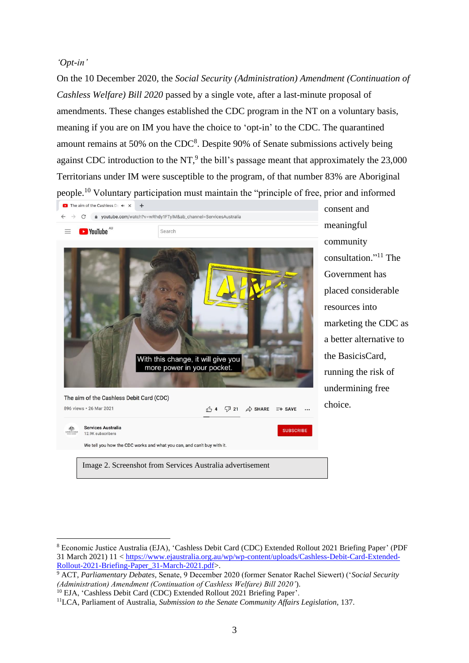### *'Opt-in'*

On the 10 December 2020, the *Social Security (Administration) Amendment (Continuation of Cashless Welfare) Bill 2020* passed by a single vote, after a last-minute proposal of amendments. These changes established the CDC program in the NT on a voluntary basis, meaning if you are on IM you have the choice to 'opt-in' to the CDC. The quarantined amount remains at 50% on the  $CDC<sup>8</sup>$ . Despite 90% of Senate submissions actively being against CDC introduction to the NT,<sup>9</sup> the bill's passage meant that approximately the  $23,000$ Territorians under IM were susceptible to the program, of that number 83% are Aboriginal people.<sup>10</sup> Voluntary participation must maintain the "principle of free, prior and informed



consent and meaningful community consultation." <sup>11</sup> The Government has placed considerable resources into marketing the CDC as a better alternative to the BasicisCard, running the risk of undermining free choice.

<sup>8</sup> Economic Justice Australia (EJA), 'Cashless Debit Card (CDC) Extended Rollout 2021 Briefing Paper' (PDF 31 March 2021) 11 < [https://www.ejaustralia.org.au/wp/wp-content/uploads/Cashless-Debit-Card-Extended-](https://www.ejaustralia.org.au/wp/wp-content/uploads/Cashless-Debit-Card-Extended-Rollout-2021-Briefing-Paper_31-March-2021.pdf)[Rollout-2021-Briefing-Paper\\_31-March-2021.pdf>](https://www.ejaustralia.org.au/wp/wp-content/uploads/Cashless-Debit-Card-Extended-Rollout-2021-Briefing-Paper_31-March-2021.pdf).

<sup>9</sup> ACT, *Parliamentary Debates,* Senate, 9 December 2020 (former Senator Rachel Siewert) ('*Social Security (Administration) Amendment (Continuation of Cashless Welfare) Bill 2020'*).

<sup>&</sup>lt;sup>10</sup> EJA, 'Cashless Debit Card (CDC) Extended Rollout 2021 Briefing Paper'.

<sup>&</sup>lt;sup>11</sup>LCA, Parliament of Australia, *Submission to the Senate Community Affairs Legislation*, 137.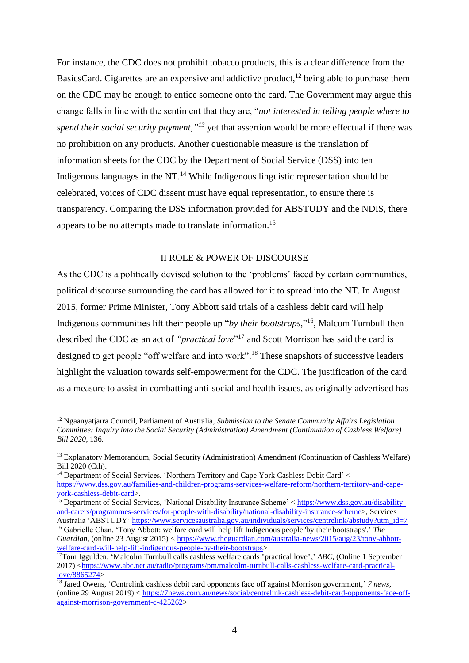For instance, the CDC does not prohibit tobacco products, this is a clear difference from the BasicsCard. Cigarettes are an expensive and addictive product,  $12$  being able to purchase them on the CDC may be enough to entice someone onto the card. The Government may argue this change falls in line with the sentiment that they are, "*not interested in telling people where to spend their social security payment," <sup>13</sup>* yet that assertion would be more effectual if there was no prohibition on any products. Another questionable measure is the translation of information sheets for the CDC by the Department of Social Service (DSS) into ten Indigenous languages in the NT. $<sup>14</sup>$  While Indigenous linguistic representation should be</sup> celebrated, voices of CDC dissent must have equal representation, to ensure there is transparency. Comparing the DSS information provided for ABSTUDY and the NDIS, there appears to be no attempts made to translate information.<sup>15</sup>

## II ROLE & POWER OF DISCOURSE

As the CDC is a politically devised solution to the 'problems' faced by certain communities, political discourse surrounding the card has allowed for it to spread into the NT. In August 2015, former Prime Minister, Tony Abbott said trials of a cashless debit card will help Indigenous communities lift their people up "*by their bootstraps,*" <sup>16</sup>, Malcom Turnbull then described the CDC as an act of *"practical love*" <sup>17</sup> and Scott Morrison has said the card is designed to get people "off welfare and into work".<sup>18</sup> These snapshots of successive leaders highlight the valuation towards self-empowerment for the CDC. The justification of the card as a measure to assist in combatting anti-social and health issues, as originally advertised has

<sup>12</sup> Ngaanyatjarra Council, Parliament of Australia, *Submission to the Senate Community Affairs Legislation Committee: Inquiry into the Social Security (Administration) Amendment (Continuation of Cashless Welfare) Bill 2020,* 136.

<sup>13</sup> Explanatory Memorandum, Social Security (Administration) Amendment (Continuation of Cashless Welfare) Bill 2020 (Cth).

<sup>&</sup>lt;sup>14</sup> Department of Social Services, 'Northern Territory and Cape York Cashless Debit Card' < [https://www.dss.gov.au/families-and-children-programs-services-welfare-reform/northern-territory-and-cape](https://www.dss.gov.au/families-and-children-programs-services-welfare-reform/northern-territory-and-cape-york-cashless-debit-card)[york-cashless-debit-card>](https://www.dss.gov.au/families-and-children-programs-services-welfare-reform/northern-territory-and-cape-york-cashless-debit-card).

<sup>&</sup>lt;sup>15</sup> Department of Social Services, 'National Disability Insurance Scheme' < [https://www.dss.gov.au/disability](https://www.dss.gov.au/disability-and-carers/programmes-services/for-people-with-disability/national-disability-insurance-scheme)[and-carers/programmes-services/for-people-with-disability/national-disability-insurance-scheme>](https://www.dss.gov.au/disability-and-carers/programmes-services/for-people-with-disability/national-disability-insurance-scheme), Services Australia 'ABSTUDY' [https://www.servicesaustralia.gov.au/individuals/services/centrelink/abstudy?utm\\_id=7](https://www.servicesaustralia.gov.au/individuals/services/centrelink/abstudy?utm_id=7)

<sup>16</sup> Gabrielle Chan, 'Tony Abbott: welfare card will help lift Indigenous people 'by their bootstraps',' *The Guardian*, (online 23 August 2015) < [https://www.theguardian.com/australia-news/2015/aug/23/tony-abbott](https://www.theguardian.com/australia-news/2015/aug/23/tony-abbott-welfare-card-will-help-lift-indigenous-people-by-their-bootstraps)[welfare-card-will-help-lift-indigenous-people-by-their-bootstraps>](https://www.theguardian.com/australia-news/2015/aug/23/tony-abbott-welfare-card-will-help-lift-indigenous-people-by-their-bootstraps)

<sup>17</sup>Tom Iggulden, 'Malcolm Turnbull calls cashless welfare cards "practical love",' *ABC,* (Online 1 September 2017) [<https://www.abc.net.au/radio/programs/pm/malcolm-turnbull-calls-cashless-welfare-card-practical](https://www.abc.net.au/radio/programs/pm/malcolm-turnbull-calls-cashless-welfare-card-practical-love/8865274)[love/8865274>](https://www.abc.net.au/radio/programs/pm/malcolm-turnbull-calls-cashless-welfare-card-practical-love/8865274)

<sup>18</sup> Jared Owens, 'Centrelink cashless debit card opponents face off against Morrison government,' *7 news,*  (online 29 August 2019) < [https://7news.com.au/news/social/centrelink-cashless-debit-card-opponents-face-off](https://7news.com.au/news/social/centrelink-cashless-debit-card-opponents-face-off-against-morrison-government-c-425262)[against-morrison-government-c-425262>](https://7news.com.au/news/social/centrelink-cashless-debit-card-opponents-face-off-against-morrison-government-c-425262)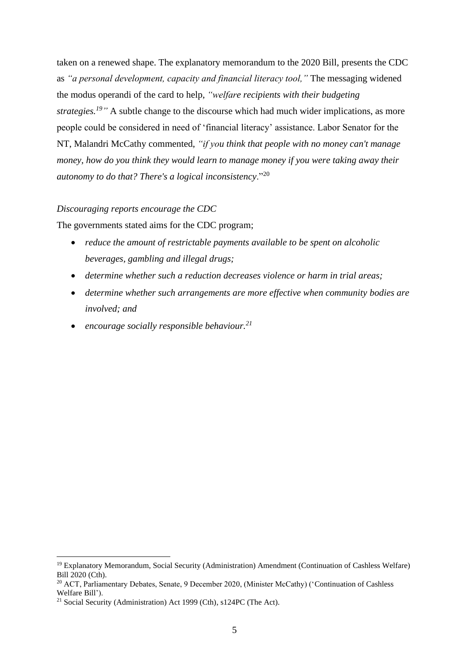taken on a renewed shape. The explanatory memorandum to the 2020 Bill, presents the CDC as *"a personal development, capacity and financial literacy tool,"* The messaging widened the modus operandi of the card to help, *"welfare recipients with their budgeting strategies.*<sup>19</sup><sup>*"*</sup> A subtle change to the discourse which had much wider implications, as more people could be considered in need of 'financial literacy' assistance. Labor Senator for the NT, Malandri McCathy commented, *"if you think that people with no money can't manage money, how do you think they would learn to manage money if you were taking away their autonomy to do that? There's a logical inconsistency*."<sup>20</sup>

### *Discouraging reports encourage the CDC*

The governments stated aims for the CDC program;

- *reduce the amount of restrictable payments available to be spent on alcoholic beverages, gambling and illegal drugs;*
- *determine whether such a reduction decreases violence or harm in trial areas;*
- *determine whether such arrangements are more effective when community bodies are involved; and*
- *encourage socially responsible behaviour.<sup>21</sup>*

<sup>19</sup> Explanatory Memorandum, Social Security (Administration) Amendment (Continuation of Cashless Welfare) Bill 2020 (Cth).

<sup>&</sup>lt;sup>20</sup> ACT, Parliamentary Debates, Senate, 9 December 2020, (Minister McCathy) ('Continuation of Cashless Welfare Bill').

<sup>&</sup>lt;sup>21</sup> Social Security (Administration) Act 1999 (Cth), s124PC (The Act).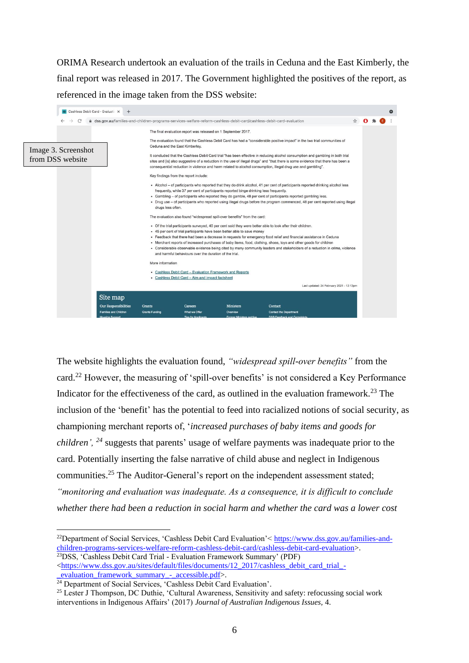ORIMA Research undertook an evaluation of the trails in Ceduna and the East Kimberly, the final report was released in 2017. The Government highlighted the positives of the report, as referenced in the image taken from the DSS website:



The website highlights the evaluation found, *"widespread spill-over benefits"* from the card.<sup>22</sup> However, the measuring of 'spill-over benefits' is not considered a Key Performance Indicator for the effectiveness of the card, as outlined in the evaluation framework.<sup>23</sup> The inclusion of the 'benefit' has the potential to feed into racialized notions of social security, as championing merchant reports of, '*increased purchases of baby items and goods for children', <sup>24</sup>* suggests that parents' usage of welfare payments was inadequate prior to the card. Potentially inserting the false narrative of child abuse and neglect in Indigenous communities.<sup>25</sup> The Auditor-General's report on the independent assessment stated; *"monitoring and evaluation was inadequate. As a consequence, it is difficult to conclude whether there had been a reduction in social harm and whether the card was a lower cost* 

<sup>22</sup>Department of Social Services, 'Cashless Debit Card Evaluation'< [https://www.dss.gov.au/families-and](https://www.dss.gov.au/families-and-children-programs-services-welfare-reform-cashless-debit-card/cashless-debit-card-evaluation)[children-programs-services-welfare-reform-cashless-debit-card/cashless-debit-card-evaluation>](https://www.dss.gov.au/families-and-children-programs-services-welfare-reform-cashless-debit-card/cashless-debit-card-evaluation).

<sup>&</sup>lt;sup>23</sup>DSS, 'Cashless Debit Card Trial - Evaluation Framework Summary' (PDF) [<https://www.dss.gov.au/sites/default/files/documents/12\\_2017/cashless\\_debit\\_card\\_trial\\_-](https://www.dss.gov.au/sites/default/files/documents/12_2017/cashless_debit_card_trial_-_evaluation_framework_summary_-_accessible.pdf) [\\_evaluation\\_framework\\_summary\\_-\\_accessible.pdf>](https://www.dss.gov.au/sites/default/files/documents/12_2017/cashless_debit_card_trial_-_evaluation_framework_summary_-_accessible.pdf).

<sup>&</sup>lt;sup>24</sup> Department of Social Services, 'Cashless Debit Card Evaluation'.

<sup>&</sup>lt;sup>25</sup> Lester J Thompson, DC Duthie, 'Cultural Awareness, Sensitivity and safety: refocussing social work interventions in Indigenous Affairs' (2017) *Journal of Australian Indigenous Issues,* 4.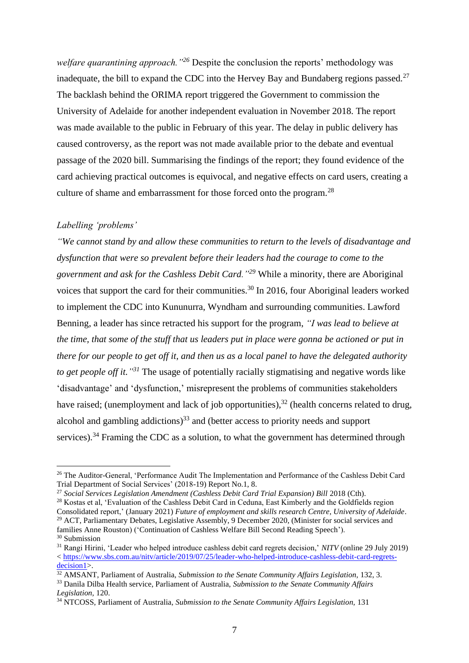*welfare quarantining approach."<sup>26</sup>* Despite the conclusion the reports' methodology was inadequate, the bill to expand the CDC into the Hervey Bay and Bundaberg regions passed.<sup>27</sup> The backlash behind the ORIMA report triggered the Government to commission the University of Adelaide for another independent evaluation in November 2018. The report was made available to the public in February of this year. The delay in public delivery has caused controversy, as the report was not made available prior to the debate and eventual passage of the 2020 bill. Summarising the findings of the report; they found evidence of the card achieving practical outcomes is equivocal, and negative effects on card users, creating a culture of shame and embarrassment for those forced onto the program.<sup>28</sup>

### *Labelling 'problems'*

*"We cannot stand by and allow these communities to return to the levels of disadvantage and dysfunction that were so prevalent before their leaders had the courage to come to the government and ask for the Cashless Debit Card."<sup>29</sup>* While a minority, there are Aboriginal voices that support the card for their communities.<sup>30</sup> In 2016, four Aboriginal leaders worked to implement the CDC into Kununurra, Wyndham and surrounding communities. Lawford Benning, a leader has since retracted his support for the program, *"I was lead to believe at the time, that some of the stuff that us leaders put in place were gonna be actioned or put in there for our people to get off it, and then us as a local panel to have the delegated authority to get people off it." <sup>31</sup>* The usage of potentially racially stigmatising and negative words like 'disadvantage' and 'dysfunction,' misrepresent the problems of communities stakeholders have raised; (unemployment and lack of job opportunities), $32$  (health concerns related to drug, alcohol and gambling addictions) <sup>33</sup> and (better access to priority needs and support services).<sup>34</sup> Framing the CDC as a solution, to what the government has determined through

<sup>&</sup>lt;sup>26</sup> The Auditor-General, 'Performance Audit The Implementation and Performance of the Cashless Debit Card Trial Department of Social Services' (2018-19) Report No.1, 8.

<sup>&</sup>lt;sup>27</sup> Social Services Legislation Amendment (Cashless Debit Card Trial Expansion) Bill 2018 (Cth).

<sup>&</sup>lt;sup>28</sup> Kostas et al, 'Evaluation of the Cashless Debit Card in Ceduna, East Kimberly and the Goldfields region Consolidated report,' (January 2021) *Future of employment and skills research Centre, University of Adelaide*.

<sup>&</sup>lt;sup>29</sup> ACT, Parliamentary Debates, Legislative Assembly, 9 December 2020, (Minister for social services and families Anne Rouston) ('Continuation of Cashless Welfare Bill Second Reading Speech'). <sup>30</sup> Submission

<sup>31</sup> Rangi Hirini, 'Leader who helped introduce cashless debit card regrets decision,' *NITV* (online 29 July 2019) < [https://www.sbs.com.au/nitv/article/2019/07/25/leader-who-helped-introduce-cashless-debit-card-regrets](https://www.sbs.com.au/nitv/article/2019/07/25/leader-who-helped-introduce-cashless-debit-card-regrets-decision1)[decision1>](https://www.sbs.com.au/nitv/article/2019/07/25/leader-who-helped-introduce-cashless-debit-card-regrets-decision1).

<sup>&</sup>lt;sup>32</sup> AMSANT, Parliament of Australia, *Submission to the Senate Community Affairs Legislation*, 132, 3.

<sup>33</sup> Danila Dilba Health service, Parliament of Australia, *Submission to the Senate Community Affairs Legislation,* 120.

<sup>34</sup> NTCOSS, Parliament of Australia, *Submission to the Senate Community Affairs Legislation,* 131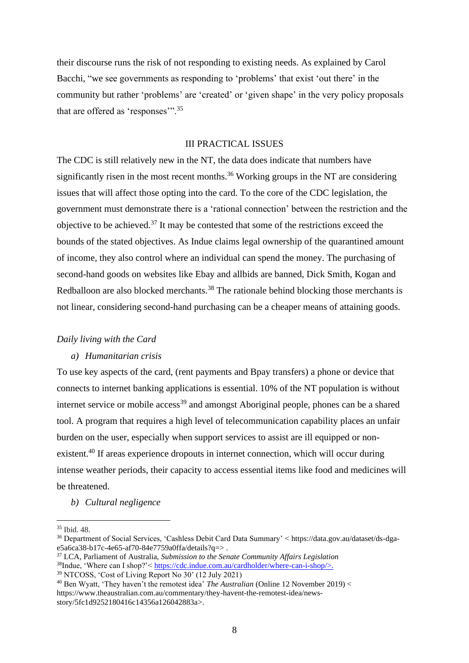their discourse runs the risk of not responding to existing needs. As explained by Carol Bacchi, "we see governments as responding to 'problems' that exist 'out there' in the community but rather 'problems' are 'created' or 'given shape' in the very policy proposals that are offered as 'responses'".<sup>35</sup>

### III PRACTICAL ISSUES

The CDC is still relatively new in the NT, the data does indicate that numbers have significantly risen in the most recent months.<sup>36</sup> Working groups in the NT are considering issues that will affect those opting into the card. To the core of the CDC legislation, the government must demonstrate there is a 'rational connection' between the restriction and the objective to be achieved.<sup>37</sup> It may be contested that some of the restrictions exceed the bounds of the stated objectives. As Indue claims legal ownership of the quarantined amount of income, they also control where an individual can spend the money. The purchasing of second-hand goods on websites like Ebay and allbids are banned, Dick Smith, Kogan and Redballoon are also blocked merchants.<sup>38</sup> The rationale behind blocking those merchants is not linear, considering second-hand purchasing can be a cheaper means of attaining goods.

#### *Daily living with the Card*

#### *a) Humanitarian crisis*

To use key aspects of the card, (rent payments and Bpay transfers) a phone or device that connects to internet banking applications is essential. 10% of the NT population is without internet service or mobile  $access<sup>39</sup>$  and amongst Aboriginal people, phones can be a shared tool. A program that requires a high level of telecommunication capability places an unfair burden on the user, especially when support services to assist are ill equipped or nonexistent.<sup>40</sup> If areas experience dropouts in internet connection, which will occur during intense weather periods, their capacity to access essential items like food and medicines will be threatened.

*b) Cultural negligence* 

<sup>35</sup> Ibid. 48.

<sup>36</sup> Department of Social Services, 'Cashless Debit Card Data Summary' < https://data.gov.au/dataset/ds-dgae5a6ca38-b17c-4e65-af70-84e7759a0ffa/details?q=>.

<sup>37</sup> LCA, Parliament of Australia, *Submission to the Senate Community Affairs Legislation*

<sup>&</sup>lt;sup>38</sup>Indue, 'Where can I shop?'< [https://cdc.indue.com.au/cardholder/where-can-i-shop/>](https://cdc.indue.com.au/cardholder/where-can-i-shop/). <sup>39</sup> NTCOSS, 'Cost of Living Report No 30' (12 July 2021)

<sup>40</sup> Ben Wyatt, 'They haven't the remotest idea' *The Australian* (Online 12 November 2019) < https://www.theaustralian.com.au/commentary/they-havent-the-remotest-idea/newsstory/5fc1d9252180416c14356a126042883a>.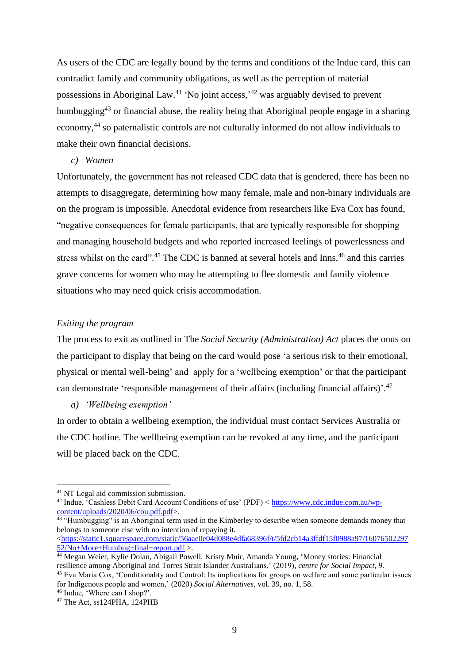As users of the CDC are legally bound by the terms and conditions of the Indue card, this can contradict family and community obligations, as well as the perception of material possessions in Aboriginal Law.<sup>41</sup> 'No joint access,<sup>142</sup> was arguably devised to prevent humbugging<sup>43</sup> or financial abuse, the reality being that Aboriginal people engage in a sharing economy,<sup>44</sup> so paternalistic controls are not culturally informed do not allow individuals to make their own financial decisions.

#### *c) Women*

Unfortunately, the government has not released CDC data that is gendered, there has been no attempts to disaggregate, determining how many female, male and non-binary individuals are on the program is impossible. Anecdotal evidence from researchers like Eva Cox has found, "negative consequences for female participants, that are typically responsible for shopping and managing household budgets and who reported increased feelings of powerlessness and stress whilst on the card".<sup>45</sup> The CDC is banned at several hotels and Inns,<sup>46</sup> and this carries grave concerns for women who may be attempting to flee domestic and family violence situations who may need quick crisis accommodation.

#### *Exiting the program*

The process to exit as outlined in The *Social Security (Administration) Act* places the onus on the participant to display that being on the card would pose 'a serious risk to their emotional, physical or mental well-being' and apply for a 'wellbeing exemption' or that the participant can demonstrate 'responsible management of their affairs (including financial affairs)'.<sup>47</sup>

*a) 'Wellbeing exemption'*

In order to obtain a wellbeing exemption, the individual must contact Services Australia or the CDC hotline. The wellbeing exemption can be revoked at any time, and the participant will be placed back on the CDC.

<sup>41</sup> NT Legal aid commission submission.

<sup>&</sup>lt;sup>42</sup> Indue, 'Cashless Debit Card Account Conditions of use' (PDF) < [https://www.cdc.indue.com.au/wp](https://www.cdc.indue.com.au/wp-content/uploads/2020/06/cou.pdf.pdf)[content/uploads/2020/06/cou.pdf.pdf>](https://www.cdc.indue.com.au/wp-content/uploads/2020/06/cou.pdf.pdf).

<sup>&</sup>lt;sup>43</sup> "Humbugging" is an Aboriginal term used in the Kimberley to describe when someone demands money that belongs to someone else with no intention of repaying it.

[<sup>&</sup>lt;https://static1.squarespace.com/static/56aae0e04d088e4dfa68396f/t/5fd2cb14a3ffdf15f0988a97/16076502297](https://static1.squarespace.com/static/56aae0e04d088e4dfa68396f/t/5fd2cb14a3ffdf15f0988a97/1607650229752/No+More+Humbug+final+report.pdf) [52/No+More+Humbug+final+report.pdf](https://static1.squarespace.com/static/56aae0e04d088e4dfa68396f/t/5fd2cb14a3ffdf15f0988a97/1607650229752/No+More+Humbug+final+report.pdf) >.

<sup>44</sup> Megan Weier, Kylie Dolan, Abigail Powell, Kristy Muir, Amanda Young**,** 'Money stories: Financial resilience among Aboriginal and Torres Strait Islander Australians,' (2019), *centre for Social Impact, 9.* 

<sup>45</sup> Eva Maria Cox, 'Conditionality and Control: Its implications for groups on welfare and some particular issues for Indigenous people and women,' (2020) *Social Alternatives*, vol. 39, no. 1, 58.

<sup>46</sup> Indue, 'Where can I shop?'.

 $47$  The Act, ss124PHA, 124PHB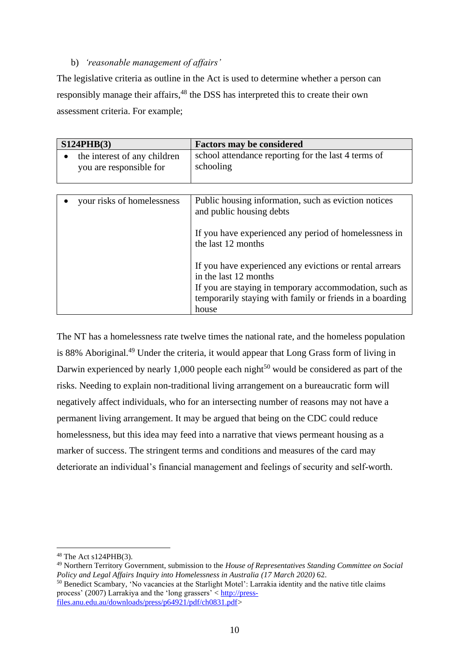# b) *'reasonable management of affairs'*

The legislative criteria as outline in the Act is used to determine whether a person can responsibly manage their affairs, <sup>48</sup> the DSS has interpreted this to create their own assessment criteria. For example;

| S124PHB(3) |                                                         | <b>Factors may be considered</b>                                                                                   |  |
|------------|---------------------------------------------------------|--------------------------------------------------------------------------------------------------------------------|--|
|            | the interest of any children<br>you are responsible for | school attendance reporting for the last 4 terms of<br>schooling                                                   |  |
|            |                                                         |                                                                                                                    |  |
|            | your risks of homelessness                              | Public housing information, such as eviction notices<br>and public housing debts                                   |  |
|            |                                                         | If you have experienced any period of homelessness in<br>the last 12 months                                        |  |
|            |                                                         | If you have experienced any evictions or rental arrears<br>in the last 12 months                                   |  |
|            |                                                         | If you are staying in temporary accommodation, such as<br>temporarily staying with family or friends in a boarding |  |
|            |                                                         | house                                                                                                              |  |

The NT has a homelessness rate twelve times the national rate, and the homeless population is 88% Aboriginal.<sup>49</sup> Under the criteria, it would appear that Long Grass form of living in Darwin experienced by nearly 1,000 people each night<sup>50</sup> would be considered as part of the risks. Needing to explain non-traditional living arrangement on a bureaucratic form will negatively affect individuals, who for an intersecting number of reasons may not have a permanent living arrangement. It may be argued that being on the CDC could reduce homelessness, but this idea may feed into a narrative that views permeant housing as a marker of success. The stringent terms and conditions and measures of the card may deteriorate an individual's financial management and feelings of security and self-worth.

<sup>48</sup> The Act s124PHB(3).

<sup>49</sup> Northern Territory Government, submission to the *House of Representatives Standing Committee on Social Policy and Legal Affairs Inquiry into Homelessness in Australia (17 March 2020)* 62.

<sup>50</sup> [Benedict Scambary,](https://www.semanticscholar.org/author/Benedict-Scambary/104869688) 'No vacancies at the Starlight Motel': Larrakia identity and the native title claims process' (2007) Larrakiya and the 'long grassers' < [http://press](http://press-files.anu.edu.au/downloads/press/p64921/pdf/ch0831.pdf)[files.anu.edu.au/downloads/press/p64921/pdf/ch0831.pdf>](http://press-files.anu.edu.au/downloads/press/p64921/pdf/ch0831.pdf)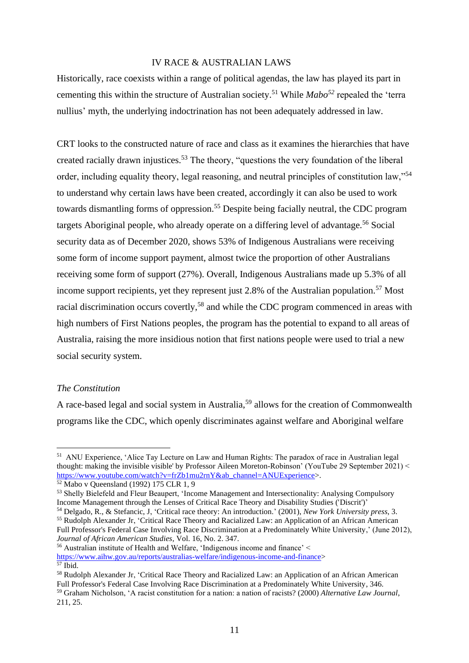#### IV RACE & AUSTRALIAN LAWS

Historically, race coexists within a range of political agendas, the law has played its part in cementing this within the structure of Australian society.<sup>51</sup> While *Mabo<sup>52</sup>* repealed the 'terra nullius' myth, the underlying indoctrination has not been adequately addressed in law.

CRT looks to the constructed nature of race and class as it examines the hierarchies that have created racially drawn injustices.<sup>53</sup> The theory, "questions the very foundation of the liberal order, including equality theory, legal reasoning, and neutral principles of constitution law,"<sup>54</sup> to understand why certain laws have been created, accordingly it can also be used to work towards dismantling forms of oppression.<sup>55</sup> Despite being facially neutral, the CDC program targets Aboriginal people, who already operate on a differing level of advantage.<sup>56</sup> Social security data as of December 2020, shows 53% of Indigenous Australians were receiving some form of income support payment, almost twice the proportion of other Australians receiving some form of support (27%). Overall, Indigenous Australians made up 5.3% of all income support recipients, yet they represent just  $2.8\%$  of the Australian population.<sup>57</sup> Most racial discrimination occurs covertly,<sup>58</sup> and while the CDC program commenced in areas with high numbers of First Nations peoples, the program has the potential to expand to all areas of Australia, raising the more insidious notion that first nations people were used to trial a new social security system.

#### *The Constitution*

A race-based legal and social system in Australia,<sup>59</sup> allows for the creation of Commonwealth programs like the CDC, which openly discriminates against welfare and Aboriginal welfare

<sup>&</sup>lt;sup>51</sup> ANU Experience, 'Alice Tay Lecture on Law and Human Rights: The paradox of race in Australian legal thought: making the invisible visible' by Professor Aileen Moreton-Robinson' (YouTube 29 September 2021) < [https://www.youtube.com/watch?v=frZb1mu2rnY&ab\\_channel=ANUExperience>](https://www.youtube.com/watch?v=frZb1mu2rnY&ab_channel=ANUExperience).

<sup>52</sup> Mabo v Queensland (1992) 175 CLR 1, 9

<sup>53</sup> Shelly Bielefeld and Fleur Beaupert, 'Income Management and Intersectionality: Analysing Compulsory Income Management through the Lenses of Critical Race Theory and Disability Studies ('Discrit')'

<sup>54</sup> Delgado, R., & Stefancic, J, 'Critical race theory: An introduction.' (2001), *New York University press*, 3.

<sup>55</sup> Rudolph Alexander Jr, 'Critical Race Theory and Racialized Law: an Application of an African American Full Professor's Federal Case Involving Race Discrimination at a Predominately White University,' (June 2012), *Journal of African American Studies,* Vol. 16, No. 2. 347.

<sup>56</sup> Australian institute of Health and Welfare, 'Indigenous income and finance' < [https://www.aihw.gov.au/reports/australias-welfare/indigenous-income-and-finance>](https://www.aihw.gov.au/reports/australias-welfare/indigenous-income-and-finance) <sup>57</sup> Ibid.

<sup>58</sup> Rudolph Alexander Jr, 'Critical Race Theory and Racialized Law: an Application of an African American Full Professor's Federal Case Involving Race Discrimination at a Predominately White University, 346. <sup>59</sup> Graham Nicholson, 'A racist constitution for a nation: a nation of racists? (2000) *Alternative Law Journal*, 211, 25.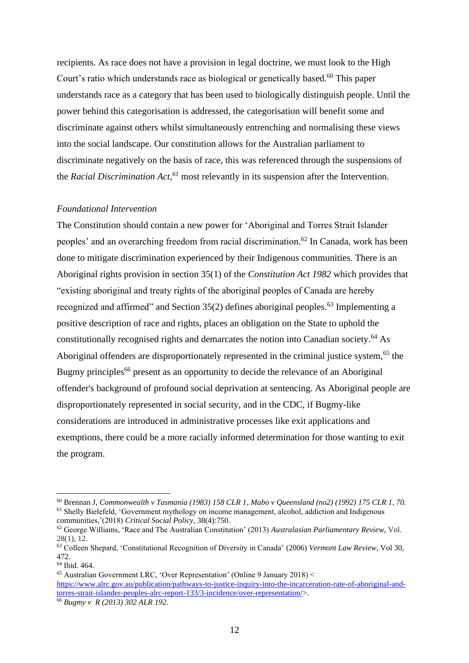recipients. As race does not have a provision in legal doctrine, we must look to the High Court's ratio which understands race as biological or genetically based.<sup>60</sup> This paper understands race as a category that has been used to biologically distinguish people. Until the power behind this categorisation is addressed, the categorisation will benefit some and discriminate against others whilst simultaneously entrenching and normalising these views into the social landscape. Our constitution allows for the Australian parliament to discriminate negatively on the basis of race, this was referenced through the suspensions of the *Racial Discrimination Act, <sup>61</sup>* most relevantly in its suspension after the Intervention.

#### *Foundational Intervention*

The Constitution should contain a new power for 'Aboriginal and Torres Strait Islander peoples' and an overarching freedom from racial discrimination. <sup>62</sup> In Canada, work has been done to mitigate discrimination experienced by their Indigenous communities. There is an Aboriginal rights provision in section 35(1) of the *Constitution Act 1982* which provides that "existing aboriginal and treaty rights of the aboriginal peoples of Canada are hereby recognized and affirmed" and Section 35(2) defines aboriginal peoples.<sup>63</sup> Implementing a positive description of race and rights, places an obligation on the State to uphold the constitutionally recognised rights and demarcates the notion into Canadian society.<sup>64</sup> As Aboriginal offenders are disproportionately represented in the criminal justice system,<sup>65</sup> the Bugmy principles<sup>66</sup> present as an opportunity to decide the relevance of an Aboriginal offender's background of profound social deprivation at sentencing. As Aboriginal people are disproportionately represented in social security, and in the CDC, if Bugmy-like considerations are introduced in administrative processes like exit applications and exemptions, there could be a more racially informed determination for those wanting to exit the program.

<sup>60</sup> Brennan J, *Commonwealth v Tasmania (1983) 158 CLR 1, Mabo v Queensland (no2) (1992) 175 CLR 1, 70.*  <sup>61</sup> Shelly Bielefeld, 'Government mythology on income management, alcohol, addiction and Indigenous communities,'(2018) *Critical Social Policy*, 38(4):750.

<sup>62</sup> George Williams, 'Race and The Australian Constitution' (2013) *Australasian Parliamentary Review,* Vol. 28(1), 12.

<sup>63</sup> Colleen Shepard, 'Constitutional Recognition of Diversity in Canada' (2006) *Vermont Law Review,* Vol 30, 472.

<sup>64</sup> Ibid. 464.

<sup>65</sup> Australian Government LRC, 'Over Representation' (Online 9 January 2018) < [https://www.alrc.gov.au/publication/pathways-to-justice-inquiry-into-the-incarceration-rate-of-aboriginal-and](https://www.alrc.gov.au/publication/pathways-to-justice-inquiry-into-the-incarceration-rate-of-aboriginal-and-torres-strait-islander-peoples-alrc-report-133/3-incidence/over-representation/)[torres-strait-islander-peoples-alrc-report-133/3-incidence/over-representation/>](https://www.alrc.gov.au/publication/pathways-to-justice-inquiry-into-the-incarceration-rate-of-aboriginal-and-torres-strait-islander-peoples-alrc-report-133/3-incidence/over-representation/). <sup>66</sup> *Bugmy v R (2013) 302 ALR 192.*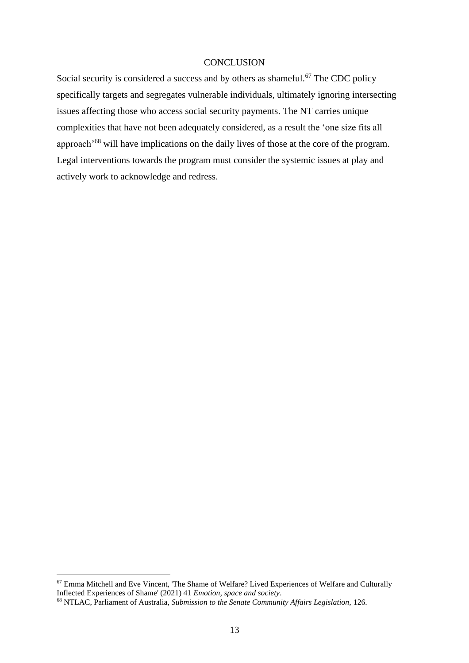## **CONCLUSION**

Social security is considered a success and by others as shameful.<sup>67</sup> The CDC policy specifically targets and segregates vulnerable individuals, ultimately ignoring intersecting issues affecting those who access social security payments. The NT carries unique complexities that have not been adequately considered, as a result the 'one size fits all approach'<sup>68</sup> will have implications on the daily lives of those at the core of the program. Legal interventions towards the program must consider the systemic issues at play and actively work to acknowledge and redress.

<sup>67</sup> Emma Mitchell and Eve Vincent, 'The Shame of Welfare? Lived Experiences of Welfare and Culturally Inflected Experiences of Shame' (2021) 41 *Emotion, space and society*.

<sup>68</sup> NTLAC, Parliament of Australia, *Submission to the Senate Community Affairs Legislation,* 126.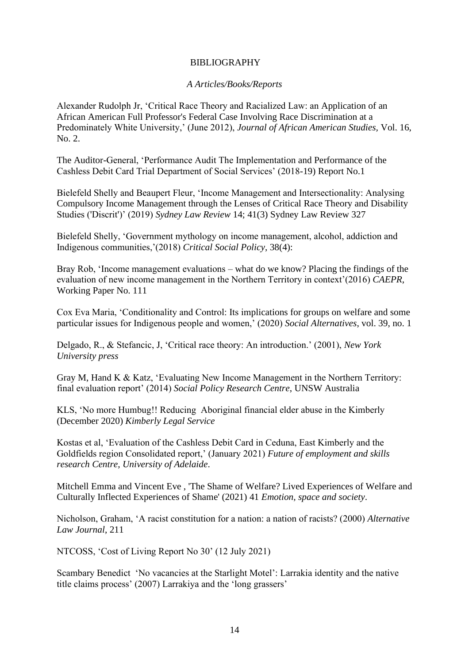# BIBLIOGRAPHY

## *A Articles/Books/Reports*

Alexander Rudolph Jr, 'Critical Race Theory and Racialized Law: an Application of an African American Full Professor's Federal Case Involving Race Discrimination at a Predominately White University,' (June 2012), *Journal of African American Studies,* Vol. 16, No. 2.

The Auditor-General, 'Performance Audit The Implementation and Performance of the Cashless Debit Card Trial Department of Social Services' (2018-19) Report No.1

Bielefeld Shelly and Beaupert Fleur, 'Income Management and Intersectionality: Analysing Compulsory Income Management through the Lenses of Critical Race Theory and Disability Studies ('Discrit')' (2019) *Sydney Law Review* 14; 41(3) Sydney Law Review 327

Bielefeld Shelly, 'Government mythology on income management, alcohol, addiction and Indigenous communities,'(2018) *Critical Social Policy*, 38(4):

Bray Rob, 'Income management evaluations – what do we know? Placing the findings of the evaluation of new income management in the Northern Territory in context'(2016) *CAEPR*, Working Paper No. 111

Cox Eva Maria, 'Conditionality and Control: Its implications for groups on welfare and some particular issues for Indigenous people and women,' (2020) *Social Alternatives*, vol. 39, no. 1

Delgado, R., & Stefancic, J, 'Critical race theory: An introduction.' (2001), *New York University press*

Gray M, Hand K & Katz, 'Evaluating New Income Management in the Northern Territory: final evaluation report' (2014) *Social Policy Research Centre*, UNSW Australia

KLS, 'No more Humbug!! Reducing Aboriginal financial elder abuse in the Kimberly (December 2020) *Kimberly Legal Service* 

Kostas et al, 'Evaluation of the Cashless Debit Card in Ceduna, East Kimberly and the Goldfields region Consolidated report,' (January 2021) *Future of employment and skills research Centre, University of Adelaide*.

Mitchell Emma and Vincent Eve , 'The Shame of Welfare? Lived Experiences of Welfare and Culturally Inflected Experiences of Shame' (2021) 41 *Emotion, space and society*.

Nicholson, Graham, 'A racist constitution for a nation: a nation of racists? (2000) *Alternative Law Journal*, 211

NTCOSS, 'Cost of Living Report No 30' (12 July 2021)

Scambary Benedict 'No vacancies at the Starlight Motel': Larrakia identity and the native title claims process' (2007) Larrakiya and the 'long grassers'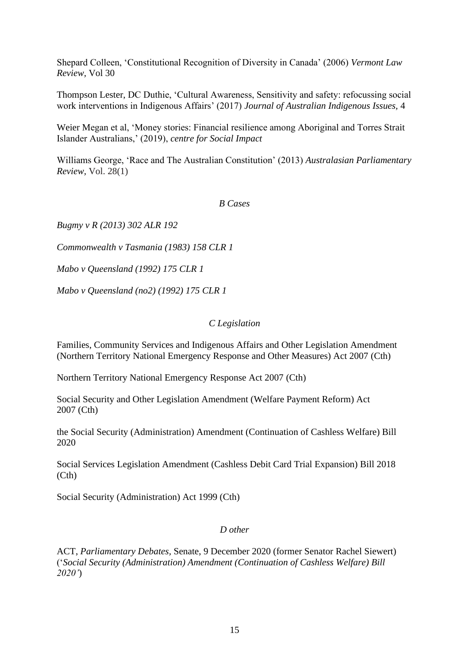Shepard Colleen, 'Constitutional Recognition of Diversity in Canada' (2006) *Vermont Law Review,* Vol 30

Thompson Lester, DC Duthie, 'Cultural Awareness, Sensitivity and safety: refocussing social work interventions in Indigenous Affairs' (2017) *Journal of Australian Indigenous Issues,* 4

Weier Megan et al, 'Money stories: Financial resilience among Aboriginal and Torres Strait Islander Australians,' (2019), *centre for Social Impact*

Williams George, 'Race and The Australian Constitution' (2013) *Australasian Parliamentary Review,* Vol. 28(1)

*B Cases*

*Bugmy v R (2013) 302 ALR 192*

*Commonwealth v Tasmania (1983) 158 CLR 1*

*Mabo v Queensland (1992) 175 CLR 1* 

*Mabo v Queensland (no2) (1992) 175 CLR 1*

## *C Legislation*

[Families, Community Services and Indigenous Affairs and Other Legislation Amendment](http://www.austlii.edu.au/au/legis/cth/num_act/fcsaiaaolatneraoma20071428/)  [\(Northern Territory National Emergency Response and Other Measures\) Act 2007](http://www.austlii.edu.au/au/legis/cth/num_act/fcsaiaaolatneraoma20071428/) (Cth)

[Northern Territory National Emergency Response Act 2007](http://www.austlii.edu.au/au/legis/cth/num_act/ntnera2007531/) (Cth)

[Social Security and Other Legislation Amendment \(Welfare Payment Reform\) Act](http://www.austlii.edu.au/au/legis/cth/num_act/ssaolapra2007674/)  [2007](http://www.austlii.edu.au/au/legis/cth/num_act/ssaolapra2007674/) (Cth)

the Social Security (Administration) Amendment (Continuation of Cashless Welfare) Bill 2020

Social Services Legislation Amendment (Cashless Debit Card Trial Expansion) Bill 2018 (Cth)

Social Security (Administration) Act 1999 (Cth)

# *D other*

ACT, *Parliamentary Debates,* Senate, 9 December 2020 (former Senator Rachel Siewert) ('*Social Security (Administration) Amendment (Continuation of Cashless Welfare) Bill 2020'*)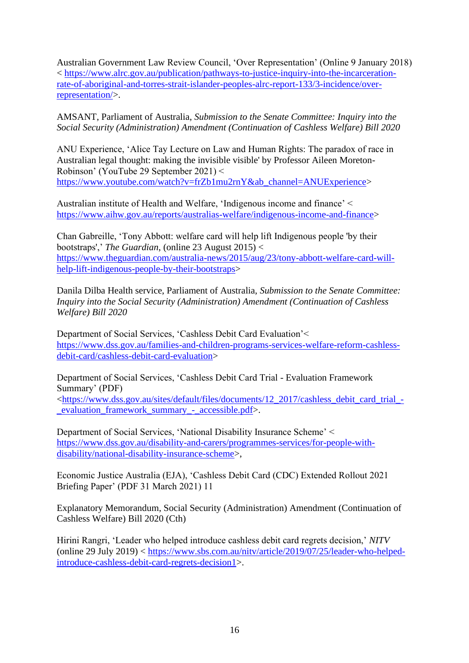Australian Government Law Review Council, 'Over Representation' (Online 9 January 2018) < [https://www.alrc.gov.au/publication/pathways-to-justice-inquiry-into-the-incarceration](https://www.alrc.gov.au/publication/pathways-to-justice-inquiry-into-the-incarceration-rate-of-aboriginal-and-torres-strait-islander-peoples-alrc-report-133/3-incidence/over-representation/)[rate-of-aboriginal-and-torres-strait-islander-peoples-alrc-report-133/3-incidence/over](https://www.alrc.gov.au/publication/pathways-to-justice-inquiry-into-the-incarceration-rate-of-aboriginal-and-torres-strait-islander-peoples-alrc-report-133/3-incidence/over-representation/)[representation/>](https://www.alrc.gov.au/publication/pathways-to-justice-inquiry-into-the-incarceration-rate-of-aboriginal-and-torres-strait-islander-peoples-alrc-report-133/3-incidence/over-representation/).

AMSANT, Parliament of Australia, *Submission to the Senate Committee: Inquiry into the Social Security (Administration) Amendment (Continuation of Cashless Welfare) Bill 2020* 

ANU Experience, 'Alice Tay Lecture on Law and Human Rights: The paradox of race in Australian legal thought: making the invisible visible' by Professor Aileen Moreton-Robinson' (YouTube 29 September 2021) < [https://www.youtube.com/watch?v=frZb1mu2rnY&ab\\_channel=ANUExperience>](https://www.youtube.com/watch?v=frZb1mu2rnY&ab_channel=ANUExperience)

Australian institute of Health and Welfare, 'Indigenous income and finance' < [https://www.aihw.gov.au/reports/australias-welfare/indigenous-income-and-finance>](https://www.aihw.gov.au/reports/australias-welfare/indigenous-income-and-finance)

Chan Gabreille, 'Tony Abbott: welfare card will help lift Indigenous people 'by their bootstraps',' *The Guardian*, (online 23 August 2015) < [https://www.theguardian.com/australia-news/2015/aug/23/tony-abbott-welfare-card-will](https://www.theguardian.com/australia-news/2015/aug/23/tony-abbott-welfare-card-will-help-lift-indigenous-people-by-their-bootstraps)[help-lift-indigenous-people-by-their-bootstraps>](https://www.theguardian.com/australia-news/2015/aug/23/tony-abbott-welfare-card-will-help-lift-indigenous-people-by-their-bootstraps)

Danila Dilba Health service, Parliament of Australia, *Submission to the Senate Committee: Inquiry into the Social Security (Administration) Amendment (Continuation of Cashless Welfare) Bill 2020* 

Department of Social Services, 'Cashless Debit Card Evaluation'< [https://www.dss.gov.au/families-and-children-programs-services-welfare-reform-cashless](https://www.dss.gov.au/families-and-children-programs-services-welfare-reform-cashless-debit-card/cashless-debit-card-evaluation)[debit-card/cashless-debit-card-evaluation>](https://www.dss.gov.au/families-and-children-programs-services-welfare-reform-cashless-debit-card/cashless-debit-card-evaluation)

Department of Social Services, 'Cashless Debit Card Trial - Evaluation Framework Summary' (PDF)

[<https://www.dss.gov.au/sites/default/files/documents/12\\_2017/cashless\\_debit\\_card\\_trial\\_](https://www.dss.gov.au/sites/default/files/documents/12_2017/cashless_debit_card_trial_-_evaluation_framework_summary_-_accessible.pdf) evaluation framework summary - accessible.pdf>.

Department of Social Services, 'National Disability Insurance Scheme' < [https://www.dss.gov.au/disability-and-carers/programmes-services/for-people-with](https://www.dss.gov.au/disability-and-carers/programmes-services/for-people-with-disability/national-disability-insurance-scheme)[disability/national-disability-insurance-scheme>](https://www.dss.gov.au/disability-and-carers/programmes-services/for-people-with-disability/national-disability-insurance-scheme),

Economic Justice Australia (EJA), 'Cashless Debit Card (CDC) Extended Rollout 2021 Briefing Paper' (PDF 31 March 2021) 11

Explanatory Memorandum, Social Security (Administration) Amendment (Continuation of Cashless Welfare) Bill 2020 (Cth)

Hirini Rangri, 'Leader who helped introduce cashless debit card regrets decision,' *NITV* (online 29 July 2019) < [https://www.sbs.com.au/nitv/article/2019/07/25/leader-who-helped](https://www.sbs.com.au/nitv/article/2019/07/25/leader-who-helped-introduce-cashless-debit-card-regrets-decision1)[introduce-cashless-debit-card-regrets-decision1>](https://www.sbs.com.au/nitv/article/2019/07/25/leader-who-helped-introduce-cashless-debit-card-regrets-decision1).